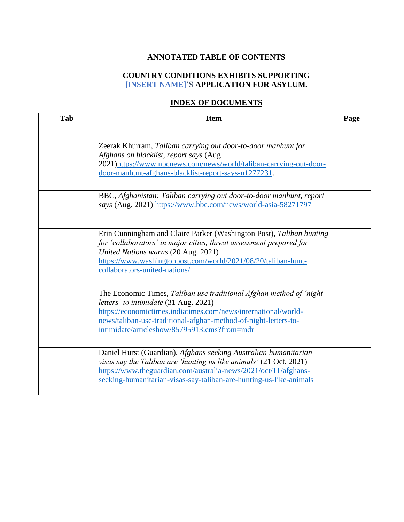## **ANNOTATED TABLE OF CONTENTS**

## **COUNTRY CONDITIONS EXHIBITS SUPPORTING [INSERT NAME]'S APPLICATION FOR ASYLUM.**

## **INDEX OF DOCUMENTS**

| Tab | <b>Item</b>                                                                                                                                                                                                                                                                                        | Page |
|-----|----------------------------------------------------------------------------------------------------------------------------------------------------------------------------------------------------------------------------------------------------------------------------------------------------|------|
|     | Zeerak Khurram, Taliban carrying out door-to-door manhunt for<br>Afghans on blacklist, report says (Aug.<br>2021)https://www.nbcnews.com/news/world/taliban-carrying-out-door-<br>door-manhunt-afghans-blacklist-report-says-n1277231.                                                             |      |
|     | BBC, Afghanistan: Taliban carrying out door-to-door manhunt, report<br>says (Aug. 2021) https://www.bbc.com/news/world-asia-58271797                                                                                                                                                               |      |
|     | Erin Cunningham and Claire Parker (Washington Post), Taliban hunting<br>for 'collaborators' in major cities, threat assessment prepared for<br>United Nations warns (20 Aug. 2021)<br>https://www.washingtonpost.com/world/2021/08/20/taliban-hunt-<br>collaborators-united-nations/               |      |
|     | The Economic Times, Taliban use traditional Afghan method of 'night'<br>letters' to intimidate (31 Aug. 2021)<br>https://economictimes.indiatimes.com/news/international/world-<br>news/taliban-use-traditional-afghan-method-of-night-letters-to-<br>intimidate/articleshow/85795913.cms?from=mdr |      |
|     | Daniel Hurst (Guardian), Afghans seeking Australian humanitarian<br>visas say the Taliban are 'hunting us like animals' (21 Oct. 2021)<br>https://www.theguardian.com/australia-news/2021/oct/11/afghans-<br>seeking-humanitarian-visas-say-taliban-are-hunting-us-like-animals                    |      |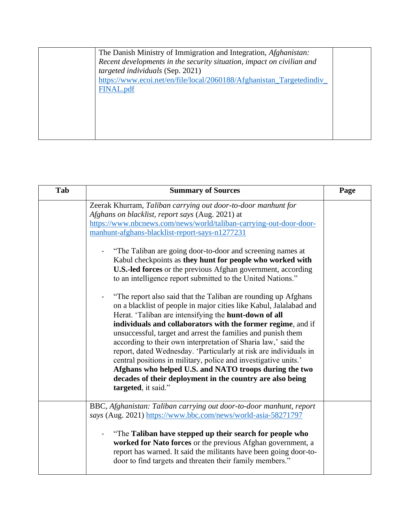| The Danish Ministry of Immigration and Integration, <i>Afghanistan</i> : |  |
|--------------------------------------------------------------------------|--|
| Recent developments in the security situation, impact on civilian and    |  |
| targeted individuals (Sep. 2021)                                         |  |
| https://www.ecoi.net/en/file/local/2060188/Afghanistan_Targetedindiv     |  |
| FINAL.pdf                                                                |  |
|                                                                          |  |
|                                                                          |  |
|                                                                          |  |
|                                                                          |  |
|                                                                          |  |
|                                                                          |  |

| Tab | <b>Summary of Sources</b>                                                                                                                                                                                                                                                                                                                                                                                                                                                                                                                                                                                                                                                                                                                                                                                                                                                                                                                                                                                                                                                                                                                                                                            | Page |
|-----|------------------------------------------------------------------------------------------------------------------------------------------------------------------------------------------------------------------------------------------------------------------------------------------------------------------------------------------------------------------------------------------------------------------------------------------------------------------------------------------------------------------------------------------------------------------------------------------------------------------------------------------------------------------------------------------------------------------------------------------------------------------------------------------------------------------------------------------------------------------------------------------------------------------------------------------------------------------------------------------------------------------------------------------------------------------------------------------------------------------------------------------------------------------------------------------------------|------|
|     | Zeerak Khurram, Taliban carrying out door-to-door manhunt for<br>Afghans on blacklist, report says (Aug. 2021) at<br>https://www.nbcnews.com/news/world/taliban-carrying-out-door-door-<br>manhunt-afghans-blacklist-report-says-n1277231<br>"The Taliban are going door-to-door and screening names at<br>Kabul checkpoints as they hunt for people who worked with<br><b>U.S.-led forces</b> or the previous Afghan government, according<br>to an intelligence report submitted to the United Nations."<br>"The report also said that the Taliban are rounding up Afghans"<br>on a blacklist of people in major cities like Kabul, Jalalabad and<br>Herat. 'Taliban are intensifying the hunt-down of all<br>individuals and collaborators with the former regime, and if<br>unsuccessful, target and arrest the families and punish them<br>according to their own interpretation of Sharia law,' said the<br>report, dated Wednesday. 'Particularly at risk are individuals in<br>central positions in military, police and investigative units.'<br>Afghans who helped U.S. and NATO troops during the two<br>decades of their deployment in the country are also being<br>targeted, it said." |      |
|     | BBC, Afghanistan: Taliban carrying out door-to-door manhunt, report<br>says (Aug. 2021) https://www.bbc.com/news/world-asia-58271797<br>"The Taliban have stepped up their search for people who<br>worked for Nato forces or the previous Afghan government, a<br>report has warned. It said the militants have been going door-to-<br>door to find targets and threaten their family members."                                                                                                                                                                                                                                                                                                                                                                                                                                                                                                                                                                                                                                                                                                                                                                                                     |      |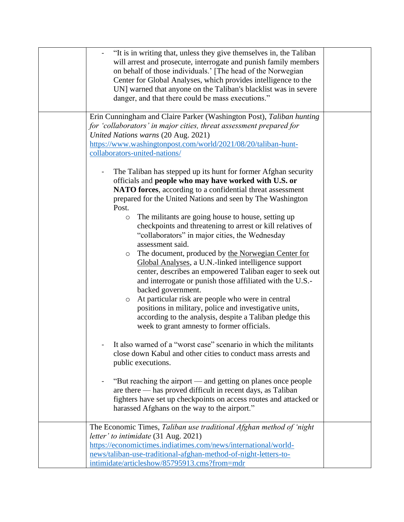| "It is in writing that, unless they give themselves in, the Taliban<br>will arrest and prosecute, interrogate and punish family members<br>on behalf of those individuals.' [The head of the Norwegian<br>Center for Global Analyses, which provides intelligence to the<br>UN] warned that anyone on the Taliban's blacklist was in severe<br>danger, and that there could be mass executions."                                                                                                                                                                                                                                                                                                                                                                                                                                                                                                                                                                                                                                                                                                                                                                                                                                                                                                                                                                                             |  |
|----------------------------------------------------------------------------------------------------------------------------------------------------------------------------------------------------------------------------------------------------------------------------------------------------------------------------------------------------------------------------------------------------------------------------------------------------------------------------------------------------------------------------------------------------------------------------------------------------------------------------------------------------------------------------------------------------------------------------------------------------------------------------------------------------------------------------------------------------------------------------------------------------------------------------------------------------------------------------------------------------------------------------------------------------------------------------------------------------------------------------------------------------------------------------------------------------------------------------------------------------------------------------------------------------------------------------------------------------------------------------------------------|--|
| Erin Cunningham and Claire Parker (Washington Post), Taliban hunting<br>for 'collaborators' in major cities, threat assessment prepared for<br>United Nations warns (20 Aug. 2021)<br>https://www.washingtonpost.com/world/2021/08/20/taliban-hunt-<br>collaborators-united-nations/                                                                                                                                                                                                                                                                                                                                                                                                                                                                                                                                                                                                                                                                                                                                                                                                                                                                                                                                                                                                                                                                                                         |  |
| The Taliban has stepped up its hunt for former Afghan security<br>officials and people who may have worked with U.S. or<br>NATO forces, according to a confidential threat assessment<br>prepared for the United Nations and seen by The Washington<br>Post.<br>The militants are going house to house, setting up<br>$\circ$<br>checkpoints and threatening to arrest or kill relatives of<br>"collaborators" in major cities, the Wednesday<br>assessment said.<br>The document, produced by the Norwegian Center for<br>$\circ$<br>Global Analyses, a U.N.-linked intelligence support<br>center, describes an empowered Taliban eager to seek out<br>and interrogate or punish those affiliated with the U.S.-<br>backed government.<br>At particular risk are people who were in central<br>$\circ$<br>positions in military, police and investigative units,<br>according to the analysis, despite a Taliban pledge this<br>week to grant amnesty to former officials.<br>It also warned of a "worst case" scenario in which the militants<br>close down Kabul and other cities to conduct mass arrests and<br>public executions.<br>"But reaching the airport — and getting on planes once people<br>are there — has proved difficult in recent days, as Taliban<br>fighters have set up checkpoints on access routes and attacked or<br>harassed Afghans on the way to the airport." |  |
| The Economic Times, Taliban use traditional Afghan method of 'night'<br>letter' to intimidate (31 Aug. 2021)<br>https://economictimes.indiatimes.com/news/international/world-<br>news/taliban-use-traditional-afghan-method-of-night-letters-to-<br>intimidate/articleshow/85795913.cms?from=mdr                                                                                                                                                                                                                                                                                                                                                                                                                                                                                                                                                                                                                                                                                                                                                                                                                                                                                                                                                                                                                                                                                            |  |